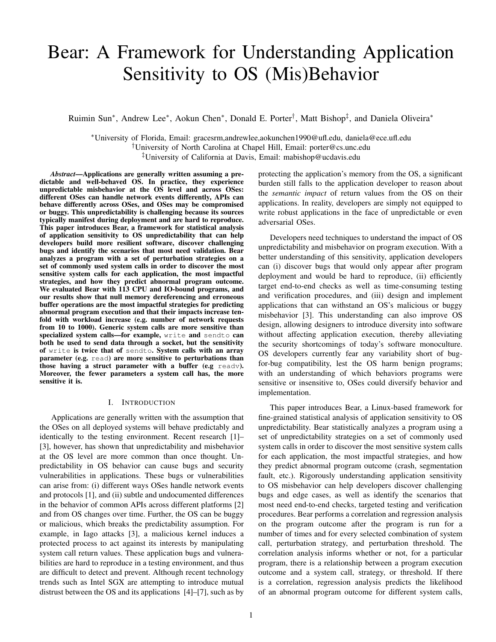# Bear: A Framework for Understanding Application Sensitivity to OS (Mis)Behavior

Ruimin Sun<sup>∗</sup>, Andrew Lee<sup>∗</sup>, Aokun Chen<sup>∗</sup>, Donald E. Porter<sup>†</sup>, Matt Bishop<sup>‡</sup>, and Daniela Oliveira<sup>∗</sup>

<sup>∗</sup>University of Florida, Email: gracesrm,andrewlee,aokunchen1990@ufl.edu, daniela@ece.ufl.edu †University of North Carolina at Chapel Hill, Email: porter@cs.unc.edu ‡University of California at Davis, Email: mabishop@ucdavis.edu

*Abstract*—Applications are generally written assuming a predictable and well-behaved OS. In practice, they experience unpredictable misbehavior at the OS level and across OSes: different OSes can handle network events differently, APIs can behave differently across OSes, and OSes may be compromised or buggy. This unpredictability is challenging because its sources typically manifest during deployment and are hard to reproduce. This paper introduces Bear, a framework for statistical analysis of application sensitivity to OS unpredictability that can help developers build more resilient software, discover challenging bugs and identify the scenarios that most need validation. Bear analyzes a program with a set of perturbation strategies on a set of commonly used system calls in order to discover the most sensitive system calls for each application, the most impactful strategies, and how they predict abnormal program outcome. We evaluated Bear with 113 CPU and IO-bound programs, and our results show that null memory dereferencing and erroneous buffer operations are the most impactful strategies for predicting abnormal program execution and that their impacts increase tenfold with workload increase (e.g. number of network requests from 10 to 1000). Generic system calls are more sensitive than specialized system calls—for example, write and sendto can both be used to send data through a socket, but the sensitivity of write is twice that of sendto. System calls with an array parameter (e.g. read) are more sensitive to perturbations than those having a struct parameter with a buffer (e.g readv). Moreover, the fewer parameters a system call has, the more sensitive it is.

## I. INTRODUCTION

Applications are generally written with the assumption that the OSes on all deployed systems will behave predictably and identically to the testing environment. Recent research [1]– [3], however, has shown that unpredictability and misbehavior at the OS level are more common than once thought. Unpredictability in OS behavior can cause bugs and security vulnerabilities in applications. These bugs or vulnerabilities can arise from: (i) different ways OSes handle network events and protocols [1], and (ii) subtle and undocumented differences in the behavior of common APIs across different platforms [2] and from OS changes over time. Further, the OS can be buggy or malicious, which breaks the predictability assumption. For example, in Iago attacks [3], a malicious kernel induces a protected process to act against its interests by manipulating system call return values. These application bugs and vulnerabilities are hard to reproduce in a testing environment, and thus are difficult to detect and prevent. Although recent technology trends such as Intel SGX are attempting to introduce mutual distrust between the OS and its applications [4]–[7], such as by protecting the application's memory from the OS, a significant burden still falls to the application developer to reason about the *semantic impact* of return values from the OS on their applications. In reality, developers are simply not equipped to write robust applications in the face of unpredictable or even adversarial OSes.

Developers need techniques to understand the impact of OS unpredictability and misbehavior on program execution. With a better understanding of this sensitivity, application developers can (i) discover bugs that would only appear after program deployment and would be hard to reproduce, (ii) efficiently target end-to-end checks as well as time-consuming testing and verification procedures, and (iii) design and implement applications that can withstand an OS's malicious or buggy misbehavior [3]. This understanding can also improve OS design, allowing designers to introduce diversity into software without affecting application execution, thereby alleviating the security shortcomings of today's software monoculture. OS developers currently fear any variability short of bugfor-bug compatibility, lest the OS harm benign programs; with an understanding of which behaviors programs were sensitive or insensitive to, OSes could diversify behavior and implementation.

This paper introduces Bear, a Linux-based framework for fine-grained statistical analysis of application sensitivity to OS unpredictability. Bear statistically analyzes a program using a set of unpredictability strategies on a set of commonly used system calls in order to discover the most sensitive system calls for each application, the most impactful strategies, and how they predict abnormal program outcome (crash, segmentation fault, etc.). Rigorously understanding application sensitivity to OS misbehavior can help developers discover challenging bugs and edge cases, as well as identify the scenarios that most need end-to-end checks, targeted testing and verification procedures. Bear performs a correlation and regression analysis on the program outcome after the program is run for a number of times and for every selected combination of system call, perturbation strategy, and perturbation threshold. The correlation analysis informs whether or not, for a particular program, there is a relationship between a program execution outcome and a system call, strategy, or threshold. If there is a correlation, regression analysis predicts the likelihood of an abnormal program outcome for different system calls,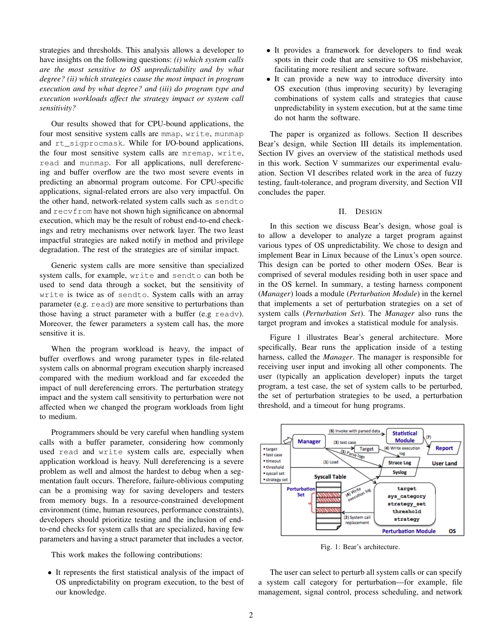strategies and thresholds. This analysis allows a developer to have insights on the following questions: *(i) which system calls are the most sensitive to OS unpredictability and by what degree? (ii) which strategies cause the most impact in program execution and by what degree? and (iii) do program type and execution workloads affect the strategy impact or system call sensitivity?*

Our results showed that for CPU-bound applications, the four most sensitive system calls are mmap, write, munmap and rt\_sigprocmask. While for I/O-bound applications, the four most sensitive system calls are mremap, write, read and munmap. For all applications, null dereferencing and buffer overflow are the two most severe events in predicting an abnormal program outcome. For CPU-specific applications, signal-related errors are also very impactful. On the other hand, network-related system calls such as sendto and recvfrom have not shown high significance on abnormal execution, which may be the result of robust end-to-end checkings and retry mechanisms over network layer. The two least impactful strategies are naked notify in method and privilege degradation. The rest of the strategies are of similar impact.

Generic system calls are more sensitive than specialized system calls, for example, write and sendto can both be used to send data through a socket, but the sensitivity of write is twice as of sendto. System calls with an array parameter (e.g. read) are more sensitive to perturbations than those having a struct parameter with a buffer (e.g readv). Moreover, the fewer parameters a system call has, the more sensitive it is.

When the program workload is heavy, the impact of buffer overflows and wrong parameter types in file-related system calls on abnormal program execution sharply increased compared with the medium workload and far exceeded the impact of null dereferencing errors. The perturbation strategy impact and the system call sensitivity to perturbation were not affected when we changed the program workloads from light to medium.

Programmers should be very careful when handling system calls with a buffer parameter, considering how commonly used read and write system calls are, especially when application workload is heavy. Null dereferencing is a severe problem as well and almost the hardest to debug when a segmentation fault occurs. Therefore, failure-oblivious computing can be a promising way for saving developers and testers from memory bugs. In a resource-constrained development environment (time, human resources, performance constraints), developers should prioritize testing and the inclusion of endto-end checks for system calls that are specialized, having few parameters and having a struct parameter that includes a vector.

This work makes the following contributions:

• It represents the first statistical analysis of the impact of OS unpredictability on program execution, to the best of our knowledge.

- It provides a framework for developers to find weak spots in their code that are sensitive to OS misbehavior, facilitating more resilient and secure software.
- It can provide a new way to introduce diversity into OS execution (thus improving security) by leveraging combinations of system calls and strategies that cause unpredictability in system execution, but at the same time do not harm the software.

The paper is organized as follows. Section II describes Bear's design, while Section III details its implementation. Section IV gives an overview of the statistical methods used in this work. Section V summarizes our experimental evaluation. Section VI describes related work in the area of fuzzy testing, fault-tolerance, and program diversity, and Section VII concludes the paper.

## II. DESIGN

In this section we discuss Bear's design, whose goal is to allow a developer to analyze a target program against various types of OS unpredictability. We chose to design and implement Bear in Linux because of the Linux's open source. This design can be ported to other modern OSes. Bear is comprised of several modules residing both in user space and in the OS kernel. In summary, a testing harness component (*Manager*) loads a module (*Perturbation Module*) in the kernel that implements a set of perturbation strategies on a set of system calls (*Perturbation Set*). The *Manager* also runs the target program and invokes a statistical module for analysis.

Figure 1 illustrates Bear's general architecture. More specifically, Bear runs the application inside of a testing harness, called the *Manager*. The manager is responsible for receiving user input and invoking all other components. The user (typically an application developer) inputs the target program, a test case, the set of system calls to be perturbed, the set of perturbation strategies to be used, a perturbation threshold, and a timeout for hung programs.



Fig. 1: Bear's architecture.

The user can select to perturb all system calls or can specify a system call category for perturbation—for example, file management, signal control, process scheduling, and network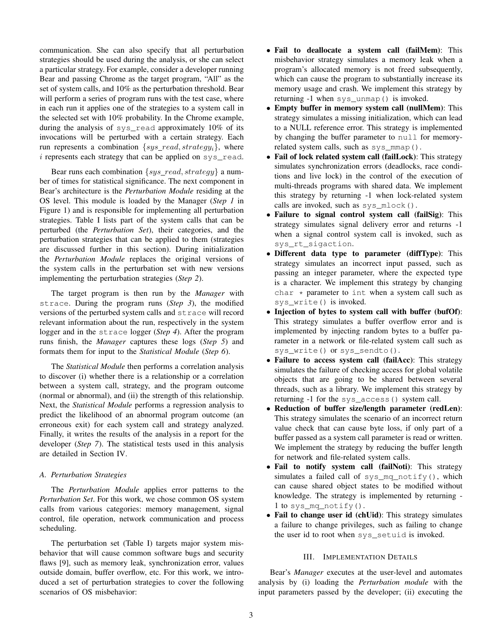communication. She can also specify that all perturbation strategies should be used during the analysis, or she can select a particular strategy. For example, consider a developer running Bear and passing Chrome as the target program, "All" as the set of system calls, and 10% as the perturbation threshold. Bear will perform a series of program runs with the test case, where in each run it applies one of the strategies to a system call in the selected set with 10% probability. In the Chrome example, during the analysis of sys\_read approximately 10% of its invocations will be perturbed with a certain strategy. Each run represents a combination  $\{sys\_read, strategy_i\}$ , where  $i$  represents each strategy that can be applied on sys read.

Bear runs each combination  $\{sys\_read, strategy\}$  a number of times for statistical significance. The next component in Bear's architecture is the *Perturbation Module* residing at the OS level. This module is loaded by the Manager (*Step 1* in Figure 1) and is responsible for implementing all perturbation strategies. Table I lists part of the system calls that can be perturbed (the *Perturbation Set*), their categories, and the perturbation strategies that can be applied to them (strategies are discussed further in this section). During initialization the *Perturbation Module* replaces the original versions of the system calls in the perturbation set with new versions implementing the perturbation strategies (*Step 2*).

The target program is then run by the *Manager* with strace. During the program runs (*Step 3*), the modified versions of the perturbed system calls and strace will record relevant information about the run, respectively in the system logger and in the strace logger (*Step 4*). After the program runs finish, the *Manager* captures these logs (*Step 5*) and formats them for input to the *Statistical Module* (*Step 6*).

The *Statistical Module* then performs a correlation analysis to discover (i) whether there is a relationship or a correlation between a system call, strategy, and the program outcome (normal or abnormal), and (ii) the strength of this relationship. Next, the *Statistical Module* performs a regression analysis to predict the likelihood of an abnormal program outcome (an erroneous exit) for each system call and strategy analyzed. Finally, it writes the results of the analysis in a report for the developer (*Step 7*). The statistical tests used in this analysis are detailed in Section IV.

## *A. Perturbation Strategies*

The *Perturbation Module* applies error patterns to the *Perturbation Set*. For this work, we chose common OS system calls from various categories: memory management, signal control, file operation, network communication and process scheduling.

The perturbation set (Table I) targets major system misbehavior that will cause common software bugs and security flaws [9], such as memory leak, synchronization error, values outside domain, buffer overflow, etc. For this work, we introduced a set of perturbation strategies to cover the following scenarios of OS misbehavior:

- Fail to deallocate a system call (failMem): This misbehavior strategy simulates a memory leak when a program's allocated memory is not freed subsequently, which can cause the program to substantially increase its memory usage and crash. We implement this strategy by returning -1 when sys\_unmap() is invoked.
- Empty buffer in memory system call (nullMem): This strategy simulates a missing initialization, which can lead to a NULL reference error. This strategy is implemented by changing the buffer parameter to null for memoryrelated system calls, such as sys\_mmap().
- Fail of lock related system call (failLock): This strategy simulates synchronization errors (deadlocks, race conditions and live lock) in the control of the execution of multi-threads programs with shared data. We implement this strategy by returning -1 when lock-related system calls are invoked, such as sys\_mlock().
- Failure to signal control system call (failSig): This strategy simulates signal delivery error and returns -1 when a signal control system call is invoked, such as sys\_rt\_sigaction.
- Different data type to parameter (diffType): This strategy simulates an incorrect input passed, such as passing an integer parameter, where the expected type is a character. We implement this strategy by changing char  $*$  parameter to int when a system call such as sys write() is invoked.
- Injection of bytes to system call with buffer (bufOf): This strategy simulates a buffer overflow error and is implemented by injecting random bytes to a buffer parameter in a network or file-related system call such as sys write() or sys sendto().
- Failure to access system call (failAcc): This strategy simulates the failure of checking access for global volatile objects that are going to be shared between several threads, such as a library. We implement this strategy by returning -1 for the sys\_access() system call.
- Reduction of buffer size/length parameter (redLen): This strategy simulates the scenario of an incorrect return value check that can cause byte loss, if only part of a buffer passed as a system call parameter is read or written. We implement the strategy by reducing the buffer length for network and file-related system calls.
- Fail to notify system call (failNoti): This strategy simulates a failed call of sys\_mq\_notify(), which can cause shared object states to be modified without knowledge. The strategy is implemented by returning - 1 to sys\_mq\_notify().
- Fail to change user id (chUid): This strategy simulates a failure to change privileges, such as failing to change the user id to root when sys\_setuid is invoked.

# III. IMPLEMENTATION DETAILS

Bear's *Manager* executes at the user-level and automates analysis by (i) loading the *Perturbation module* with the input parameters passed by the developer; (ii) executing the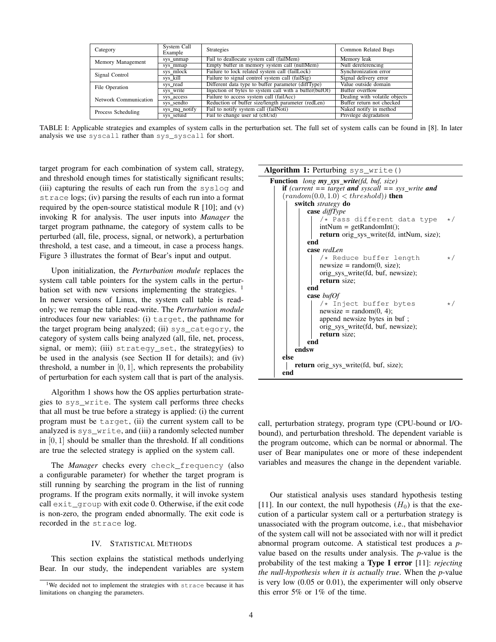| Category                     | System Call<br>Example | <b>Strategies</b>                                      | Common Related Bugs           |
|------------------------------|------------------------|--------------------------------------------------------|-------------------------------|
| Memory Management            | sys_unmap              | Fail to deallocate system call (failMem)               | Memory leak                   |
|                              | sys_mmap               | Empty buffer in memory system call (nullMem)           | Null dereferencing            |
| Signal Control               | sys mlock              | Failure to lock related system call (failLock)         | Synchronization error         |
|                              | sys kill               | Failure to signal control system call (failSig)        | Signal delivery error         |
| File Operation               | sys_read               | Different data type to buffer parameter (diffType)     | Value outside domain          |
|                              | sys_write              | Injection of bytes to system call with a buffer(bufOf) | Buffer overflow               |
| <b>Network Communication</b> | sys access             | Failure to access system call (failAcc)                | Dealing with volatile objects |
|                              | sys sendto             | Reduction of buffer size/length parameter (redLen)     | Buffer return not checked     |
| Process Scheduling           | sys_mq_notify          | Fail to notify system call (failNoti)                  | Naked notify in method        |
|                              | sys_setuid             | Fail to change user id (chUid)                         | Privilege degradation         |

TABLE I: Applicable strategies and examples of system calls in the perturbation set. The full set of system calls can be found in [8]. In later analysis we use syscall rather than sys\_syscall for short.

target program for each combination of system call, strategy, and threshold enough times for statistically significant results; (iii) capturing the results of each run from the syslog and strace logs; (iv) parsing the results of each run into a format required by the open-source statistical module  $R \sim 10$ ; and  $(v)$ invoking R for analysis. The user inputs into *Manager* the target program pathname, the category of system calls to be perturbed (all, file, process, signal, or network), a perturbation threshold, a test case, and a timeout, in case a process hangs. Figure 3 illustrates the format of Bear's input and output.

Upon initialization, the *Perturbation module* replaces the system call table pointers for the system calls in the perturbation set with new versions implementing the strategies.  $1$ In newer versions of Linux, the system call table is readonly; we remap the table read-write. The *Perturbation module* introduces four new variables: (i) target, the pathname for the target program being analyzed; (ii) sys\_category, the category of system calls being analyzed (all, file, net, process, signal, or mem); (iii) strategy\_set, the strategy(ies) to be used in the analysis (see Section II for details); and (iv) threshold, a number in  $[0, 1]$ , which represents the probability of perturbation for each system call that is part of the analysis.

Algorithm 1 shows how the OS applies perturbation strategies to sys\_write. The system call performs three checks that all must be true before a strategy is applied: (i) the current program must be target, (ii) the current system call to be analyzed is sys\_write, and (iii) a randomly selected number in [0, 1] should be smaller than the threshold. If all conditions are true the selected strategy is applied on the system call.

The *Manager* checks every check\_frequency (also a configurable parameter) for whether the target program is still running by searching the program in the list of running programs. If the program exits normally, it will invoke system call exit\_group with exit code 0. Otherwise, if the exit code is non-zero, the program ended abnormally. The exit code is recorded in the strace log.

## IV. STATISTICAL METHODS

This section explains the statistical methods underlying Bear. In our study, the independent variables are system

| <b>Algorithm 1: Perturbing</b> sys_write()                                                                            |          |  |  |  |
|-----------------------------------------------------------------------------------------------------------------------|----------|--|--|--|
| <b>Function</b> long $my\_sys\_write(fd, but, size)$<br><b>if</b> (current $==$ target and syscall $==$ sys_write and |          |  |  |  |
| $(random(0.0, 1.0) < threshold)$ ) then                                                                               |          |  |  |  |
| switch strategy do                                                                                                    |          |  |  |  |
| case diffType                                                                                                         |          |  |  |  |
| $/*$ Pass different data type $*/$                                                                                    |          |  |  |  |
| $intNum = getRandomInt();$                                                                                            |          |  |  |  |
| return orig sys write (fd, intNum, size);                                                                             |          |  |  |  |
| end                                                                                                                   |          |  |  |  |
| case redLen                                                                                                           |          |  |  |  |
| /* Reduce buffer length                                                                                               | $\star/$ |  |  |  |
| $newsize = random(0, size);$                                                                                          |          |  |  |  |
| orig_sys_write(fd, buf, newsize);                                                                                     |          |  |  |  |
| return size;                                                                                                          |          |  |  |  |
| end                                                                                                                   |          |  |  |  |
| case <i>bufOf</i>                                                                                                     |          |  |  |  |
| /* Inject buffer bytes                                                                                                | $\star/$ |  |  |  |
| $newsize = random(0, 4);$                                                                                             |          |  |  |  |
| append newsize bytes in buf;                                                                                          |          |  |  |  |
| orig_sys_write(fd, buf, newsize);                                                                                     |          |  |  |  |
| return size;                                                                                                          |          |  |  |  |
| end                                                                                                                   |          |  |  |  |
| endsw                                                                                                                 |          |  |  |  |
| else                                                                                                                  |          |  |  |  |
| return orig_sys_write(fd, buf, size);                                                                                 |          |  |  |  |
| end                                                                                                                   |          |  |  |  |

call, perturbation strategy, program type (CPU-bound or I/Obound), and perturbation threshold. The dependent variable is the program outcome, which can be normal or abnormal. The user of Bear manipulates one or more of these independent variables and measures the change in the dependent variable.

Our statistical analysis uses standard hypothesis testing [11]. In our context, the null hypothesis  $(H_0)$  is that the execution of a particular system call or a perturbation strategy is unassociated with the program outcome, i.e., that misbehavior of the system call will not be associated with nor will it predict abnormal program outcome. A statistical test produces a *p*value based on the results under analysis. The *p*-value is the probability of the test making a Type I error [11]: *rejecting the null-hypothesis when it is actually true*. When the *p*-value is very low (0.05 or 0.01), the experimenter will only observe this error 5% or 1% of the time.

<sup>&</sup>lt;sup>1</sup>We decided not to implement the strategies with  $strace$  because it has limitations on changing the parameters.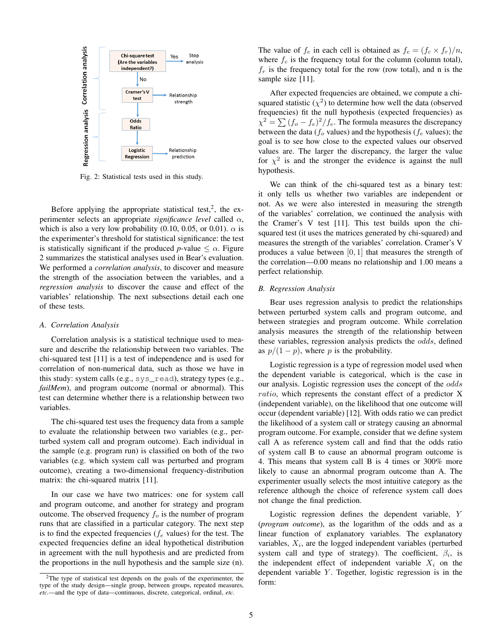

Fig. 2: Statistical tests used in this study.

Before applying the appropriate statistical test,<sup>2</sup>, the experimenter selects an appropriate *significance level* called α, which is also a very low probability (0.10, 0.05, or 0.01).  $\alpha$  is the experimenter's threshold for statistical significance: the test is statistically significant if the produced *p*-value  $\leq \alpha$ . Figure 2 summarizes the statistical analyses used in Bear's evaluation. We performed a *correlation analysis*, to discover and measure the strength of the association between the variables, and a *regression analysis* to discover the cause and effect of the variables' relationship. The next subsections detail each one of these tests.

### *A. Correlation Analysis*

Correlation analysis is a statistical technique used to measure and describe the relationship between two variables. The chi-squared test [11] is a test of independence and is used for correlation of non-numerical data, such as those we have in this study: system calls (e.g., sys\_read), strategy types (e.g., *failMem*), and program outcome (normal or abnormal). This test can determine whether there is a relationship between two variables.

The chi-squared test uses the frequency data from a sample to evaluate the relationship between two variables (e.g., perturbed system call and program outcome). Each individual in the sample (e.g. program run) is classified on both of the two variables (e.g. which system call was perturbed and program outcome), creating a two-dimensional frequency-distribution matrix: the chi-squared matrix [11].

In our case we have two matrices: one for system call and program outcome, and another for strategy and program outcome. The observed frequency  $f<sub>o</sub>$  is the number of program runs that are classified in a particular category. The next step is to find the expected frequencies ( $f_e$  values) for the test. The expected frequencies define an ideal hypothetical distribution in agreement with the null hypothesis and are predicted from the proportions in the null hypothesis and the sample size (n).

The value of  $f_e$  in each cell is obtained as  $f_e = (f_c \times f_r)/n$ , where  $f_c$  is the frequency total for the column (column total),  $f<sub>r</sub>$  is the frequency total for the row (row total), and n is the sample size [11].

After expected frequencies are obtained, we compute a chisquared statistic  $(\chi^2)$  to determine how well the data (observed frequencies) fit the null hypothesis (expected frequencies) as  $\chi^2 = \sum (f_o - f_e)^2 / f_e$ . The formula measures the discrepancy between the data ( $f<sub>o</sub>$  values) and the hypothesis ( $f<sub>e</sub>$  values); the goal is to see how close to the expected values our observed values are. The larger the discrepancy, the larger the value for  $\chi^2$  is and the stronger the evidence is against the null hypothesis.

We can think of the chi-squared test as a binary test: it only tells us whether two variables are independent or not. As we were also interested in measuring the strength of the variables' correlation, we continued the analysis with the Cramer's V test [11]. This test builds upon the chisquared test (it uses the matrices generated by chi-squared) and measures the strength of the variables' correlation. Cramer's V produces a value between  $[0, 1]$  that measures the strength of the correlation—0.00 means no relationship and 1.00 means a perfect relationship.

## *B. Regression Analysis*

Bear uses regression analysis to predict the relationships between perturbed system calls and program outcome, and between strategies and program outcome. While correlation analysis measures the strength of the relationship between these variables, regression analysis predicts the odds, defined as  $p/(1-p)$ , where p is the probability.

Logistic regression is a type of regression model used when the dependent variable is categorical, which is the case in our analysis. Logistic regression uses the concept of the odds ratio, which represents the constant effect of a predictor X (independent variable), on the likelihood that one outcome will occur (dependent variable) [12]. With odds ratio we can predict the likelihood of a system call or strategy causing an abnormal program outcome. For example, consider that we define system call A as reference system call and find that the odds ratio of system call B to cause an abnormal program outcome is 4. This means that system call B is 4 times or 300% more likely to cause an abnormal program outcome than A. The experimenter usually selects the most intuitive category as the reference although the choice of reference system call does not change the final prediction.

Logistic regression defines the dependent variable, Y (*program outcome*), as the logarithm of the odds and as a linear function of explanatory variables. The explanatory variables,  $X_i$ , are the logged independent variables (perturbed system call and type of strategy). The coefficient,  $\beta_i$ , is the independent effect of independent variable  $X_i$  on the dependent variable  $Y$ . Together, logistic regression is in the form:

<sup>&</sup>lt;sup>2</sup>The type of statistical test depends on the goals of the experimenter, the type of the study design—single group, between groups, repeated measures, *etc.*—and the type of data—continuous, discrete, categorical, ordinal, *etc.*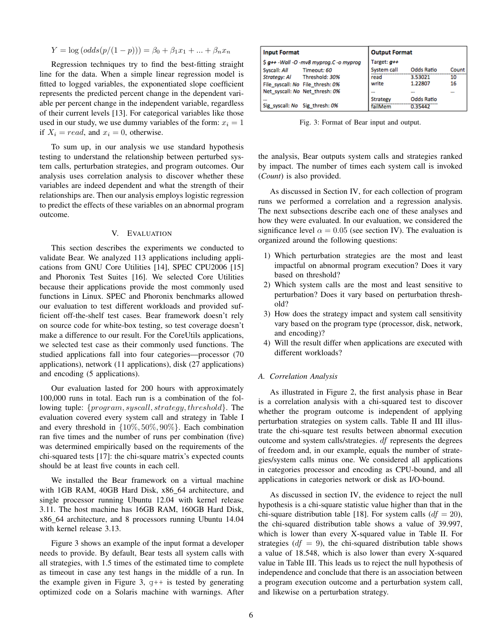$$
Y = \log(\text{odds}(p/(1-p))) = \beta_0 + \beta_1 x_1 + \dots + \beta_n x_n
$$

Regression techniques try to find the best-fitting straight line for the data. When a simple linear regression model is fitted to logged variables, the exponentiated slope coefficient represents the predicted percent change in the dependent variable per percent change in the independent variable, regardless of their current levels [13]. For categorical variables like those used in our study, we use dummy variables of the form:  $x_i = 1$ if  $X_i = read$ , and  $x_i = 0$ , otherwise.

To sum up, in our analysis we use standard hypothesis testing to understand the relationship between perturbed system calls, perturbation strategies, and program outcomes. Our analysis uses correlation analysis to discover whether these variables are indeed dependent and what the strength of their relationships are. Then our analysis employs logistic regression to predict the effects of these variables on an abnormal program outcome.

## V. EVALUATION

This section describes the experiments we conducted to validate Bear. We analyzed 113 applications including applications from GNU Core Utilities [14], SPEC CPU2006 [15] and Phoronix Test Suites [16]. We selected Core Utilities because their applications provide the most commonly used functions in Linux. SPEC and Phoronix benchmarks allowed our evaluation to test different workloads and provided sufficient off-the-shelf test cases. Bear framework doesn't rely on source code for white-box testing, so test coverage doesn't make a difference to our result. For the CoreUtils applications, we selected test case as their commonly used functions. The studied applications fall into four categories—processor (70 applications), network (11 applications), disk (27 applications) and encoding (5 applications).

Our evaluation lasted for 200 hours with approximately 100,000 runs in total. Each run is a combination of the following tuple: {program, syscall, strategy, threshold}. The evaluation covered every system call and strategy in Table I and every threshold in  $\{10\%, 50\%, 90\%\}$ . Each combination ran five times and the number of runs per combination (five) was determined empirically based on the requirements of the chi-squared tests [17]: the chi-square matrix's expected counts should be at least five counts in each cell.

We installed the Bear framework on a virtual machine with 1GB RAM, 40GB Hard Disk, x86\_64 architecture, and single processor running Ubuntu 12.04 with kernel release 3.11. The host machine has 16GB RAM, 160GB Hard Disk, x86 64 architecture, and 8 processors running Ubuntu 14.04 with kernel release 3.13.

Figure 3 shows an example of the input format a developer needs to provide. By default, Bear tests all system calls with all strategies, with 1.5 times of the estimated time to complete as timeout in case any test hangs in the middle of a run. In the example given in Figure 3,  $g++$  is tested by generating optimized code on a Solaris machine with warnings. After

| <b>Input Format</b><br>\$ g++ -Wall -O -mv8 myprog.C -o myprog |                                  | <b>Output Format</b> |                   |       |  |
|----------------------------------------------------------------|----------------------------------|----------------------|-------------------|-------|--|
|                                                                |                                  | Target: $q++$        |                   |       |  |
| Syscall: All                                                   | Timeout: 60                      | System call          | <b>Odds Ratio</b> | Count |  |
|                                                                | Strategy: Al Threshold: 30%      | read                 | 3.53021           | 10    |  |
|                                                                | File syscall: No File thresh: 0% | write                | 1.22807           | 16    |  |
|                                                                | Net syscall: No Net thresh: 0%   |                      |                   |       |  |
| 1.11                                                           |                                  | <b>Strategy</b>      | <b>Odds Ratio</b> |       |  |
|                                                                | Sig syscall: No Sig thresh: 0%   | failMem              | 0.35442           |       |  |

Fig. 3: Format of Bear input and output.

the analysis, Bear outputs system calls and strategies ranked by impact. The number of times each system call is invoked (*Count*) is also provided.

As discussed in Section IV, for each collection of program runs we performed a correlation and a regression analysis. The next subsections describe each one of these analyses and how they were evaluated. In our evaluation, we considered the significance level  $\alpha = 0.05$  (see section IV). The evaluation is organized around the following questions:

- 1) Which perturbation strategies are the most and least impactful on abnormal program execution? Does it vary based on threshold?
- 2) Which system calls are the most and least sensitive to perturbation? Does it vary based on perturbation threshold?
- 3) How does the strategy impact and system call sensitivity vary based on the program type (processor, disk, network, and encoding)?
- 4) Will the result differ when applications are executed with different workloads?

#### *A. Correlation Analysis*

As illustrated in Figure 2, the first analysis phase in Bear is a correlation analysis with a chi-squared test to discover whether the program outcome is independent of applying perturbation strategies on system calls. Table II and III illustrate the chi-square test results between abnormal execution outcome and system calls/strategies. df represents the degrees of freedom and, in our example, equals the number of strategies/system calls minus one. We considered all applications in categories processor and encoding as CPU-bound, and all applications in categories network or disk as I/O-bound.

As discussed in section IV, the evidence to reject the null hypothesis is a chi-square statistic value higher than that in the chi-square distribution table [18]. For system calls  $(df = 20)$ , the chi-squared distribution table shows a value of 39.997, which is lower than every X-squared value in Table II. For strategies ( $df = 9$ ), the chi-squared distribution table shows a value of 18.548, which is also lower than every X-squared value in Table III. This leads us to reject the null hypothesis of independence and conclude that there is an association between a program execution outcome and a perturbation system call, and likewise on a perturbation strategy.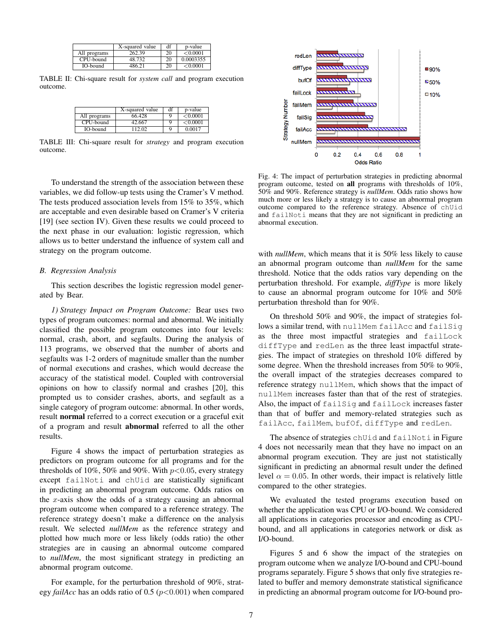|              | X-squared value | df | p-value   |
|--------------|-----------------|----|-----------|
| All programs | 262.39          | 20 | < 0.0001  |
| CPU-bound    | 48.732          | 20 | 0.0003355 |
| IO-bound     | 486 21          | 20 | < 0.0001  |

TABLE II: Chi-square result for *system call* and program execution outcome.

|              | X-squared value | df | p-value  |
|--------------|-----------------|----|----------|
| All programs | 66.428          | Q  | < 0.0001 |
| CPU-bound    | 42.667          |    | < 0.0001 |
| IO-bound     | 112.02          |    | 0.0017   |

TABLE III: Chi-square result for *strategy* and program execution outcome.

To understand the strength of the association between these variables, we did follow-up tests using the Cramer's V method. The tests produced association levels from 15% to 35%, which are acceptable and even desirable based on Cramer's V criteria [19] (see section IV). Given these results we could proceed to the next phase in our evaluation: logistic regression, which allows us to better understand the influence of system call and strategy on the program outcome.

#### *B. Regression Analysis*

This section describes the logistic regression model generated by Bear.

*1) Strategy Impact on Program Outcome:* Bear uses two types of program outcomes: normal and abnormal. We initially classified the possible program outcomes into four levels: normal, crash, abort, and segfaults. During the analysis of 113 programs, we observed that the number of aborts and segfaults was 1-2 orders of magnitude smaller than the number of normal executions and crashes, which would decrease the accuracy of the statistical model. Coupled with controversial opinions on how to classify normal and crashes [20], this prompted us to consider crashes, aborts, and segfault as a single category of program outcome: abnormal. In other words, result normal referred to a correct execution or a graceful exit of a program and result abnormal referred to all the other results.

Figure 4 shows the impact of perturbation strategies as predictors on program outcome for all programs and for the thresholds of 10%, 50% and 90%. With  $p<0.05$ , every strategy except failNoti and chUid are statistically significant in predicting an abnormal program outcome. Odds ratios on the  $x$ -axis show the odds of a strategy causing an abnormal program outcome when compared to a reference strategy. The reference strategy doesn't make a difference on the analysis result. We selected *nullMem* as the reference strategy and plotted how much more or less likely (odds ratio) the other strategies are in causing an abnormal outcome compared to *nullMem*, the most significant strategy in predicting an abnormal program outcome.

For example, for the perturbation threshold of 90%, strategy *failAcc* has an odds ratio of  $0.5$  ( $p < 0.001$ ) when compared



Fig. 4: The impact of perturbation strategies in predicting abnormal program outcome, tested on all programs with thresholds of 10%, 50% and 90%. Reference strategy is *nullMem*. Odds ratio shows how much more or less likely a strategy is to cause an abnormal program outcome compared to the reference strategy. Absence of chUid and failNoti means that they are not significant in predicting an abnormal execution.

with *nullMem*, which means that it is 50% less likely to cause an abnormal program outcome than *nullMem* for the same threshold. Notice that the odds ratios vary depending on the perturbation threshold. For example, *diffType* is more likely to cause an abnormal program outcome for 10% and 50% perturbation threshold than for 90%.

On threshold 50% and 90%, the impact of strategies follows a similar trend, with nullMem failAcc and failSig as the three most impactful strategies and failLock diffType and redLen as the three least impactful strategies. The impact of strategies on threshold 10% differed by some degree. When the threshold increases from 50% to 90%, the overall impact of the strategies decreases compared to reference strategy nullMem, which shows that the impact of nullMem increases faster than that of the rest of strategies. Also, the impact of failSig and failLock increases faster than that of buffer and memory-related strategies such as failAcc, failMem, bufOf, diffType and redLen.

The absence of strategies chUid and failNoti in Figure 4 does not necessarily mean that they have no impact on an abnormal program execution. They are just not statistically significant in predicting an abnormal result under the defined level  $\alpha = 0.05$ . In other words, their impact is relatively little compared to the other strategies.

We evaluated the tested programs execution based on whether the application was CPU or I/O-bound. We considered all applications in categories processor and encoding as CPUbound, and all applications in categories network or disk as I/O-bound.

Figures 5 and 6 show the impact of the strategies on program outcome when we analyze I/O-bound and CPU-bound programs separately. Figure 5 shows that only five strategies related to buffer and memory demonstrate statistical significance in predicting an abnormal program outcome for I/O-bound pro-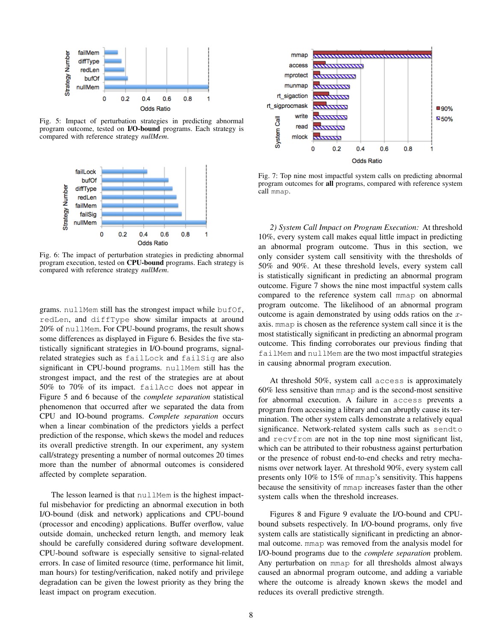

Fig. 5: Impact of perturbation strategies in predicting abnormal program outcome, tested on I/O-bound programs. Each strategy is compared with reference strategy *nullMem*.



Fig. 6: The impact of perturbation strategies in predicting abnormal program execution, tested on CPU-bound programs. Each strategy is compared with reference strategy *nullMem*.

grams. nullMem still has the strongest impact while bufOf, redLen, and diffType show similar impacts at around 20% of nullMem. For CPU-bound programs, the result shows some differences as displayed in Figure 6. Besides the five statistically significant strategies in I/O-bound programs, signalrelated strategies such as failLock and failSig are also significant in CPU-bound programs. nullMem still has the strongest impact, and the rest of the strategies are at about 50% to 70% of its impact. failAcc does not appear in Figure 5 and 6 because of the *complete separation* statistical phenomenon that occurred after we separated the data from CPU and IO-bound programs. *Complete separation* occurs when a linear combination of the predictors yields a perfect prediction of the response, which skews the model and reduces its overall predictive strength. In our experiment, any system call/strategy presenting a number of normal outcomes 20 times more than the number of abnormal outcomes is considered affected by complete separation.

The lesson learned is that nullMem is the highest impactful misbehavior for predicting an abnormal execution in both I/O-bound (disk and network) applications and CPU-bound (processor and encoding) applications. Buffer overflow, value outside domain, unchecked return length, and memory leak should be carefully considered during software development. CPU-bound software is especially sensitive to signal-related errors. In case of limited resource (time, performance hit limit, man hours) for testing/verification, naked notify and privilege degradation can be given the lowest priority as they bring the least impact on program execution.



Fig. 7: Top nine most impactful system calls on predicting abnormal program outcomes for all programs, compared with reference system call mmap.

*2) System Call Impact on Program Execution:* At threshold 10%, every system call makes equal little impact in predicting an abnormal program outcome. Thus in this section, we only consider system call sensitivity with the thresholds of 50% and 90%. At these threshold levels, every system call is statistically significant in predicting an abnormal program outcome. Figure 7 shows the nine most impactful system calls compared to the reference system call mmap on abnormal program outcome. The likelihood of an abnormal program outcome is again demonstrated by using odds ratios on the xaxis. mmap is chosen as the reference system call since it is the most statistically significant in predicting an abnormal program outcome. This finding corroborates our previous finding that failMem and nullMem are the two most impactful strategies in causing abnormal program execution.

At threshold 50%, system call access is approximately 60% less sensitive than mmap and is the second-most sensitive for abnormal execution. A failure in access prevents a program from accessing a library and can abruptly cause its termination. The other system calls demonstrate a relatively equal significance. Network-related system calls such as sendto and recvfrom are not in the top nine most significant list, which can be attributed to their robustness against perturbation or the presence of robust end-to-end checks and retry mechanisms over network layer. At threshold 90%, every system call presents only 10% to 15% of mmap's sensitivity. This happens because the sensitivity of mmap increases faster than the other system calls when the threshold increases.

Figures 8 and Figure 9 evaluate the I/O-bound and CPUbound subsets respectively. In I/O-bound programs, only five system calls are statistically significant in predicting an abnormal outcome. mmap was removed from the analysis model for I/O-bound programs due to the *complete separation* problem. Any perturbation on mmap for all thresholds almost always caused an abnormal program outcome, and adding a variable where the outcome is already known skews the model and reduces its overall predictive strength.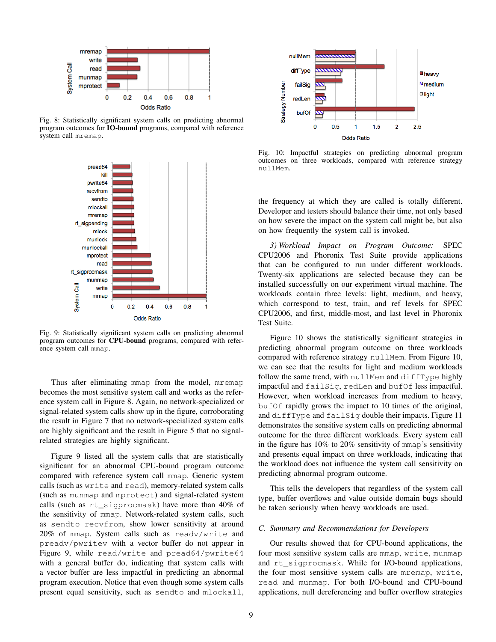

Fig. 8: Statistically significant system calls on predicting abnormal program outcomes for IO-bound programs, compared with reference system call mremap.



Fig. 9: Statistically significant system calls on predicting abnormal program outcomes for CPU-bound programs, compared with reference system call mmap.

Thus after eliminating mmap from the model, mremap becomes the most sensitive system call and works as the reference system call in Figure 8. Again, no network-specialized or signal-related system calls show up in the figure, corroborating the result in Figure 7 that no network-specialized system calls are highly significant and the result in Figure 5 that no signalrelated strategies are highly significant.

Figure 9 listed all the system calls that are statistically significant for an abnormal CPU-bound program outcome compared with reference system call mmap. Generic system calls (such as write and read), memory-related system calls (such as munmap and mprotect) and signal-related system calls (such as rt\_sigprocmask) have more than 40% of the sensitivity of mmap. Network-related system calls, such as sendto recvfrom, show lower sensitivity at around 20% of mmap. System calls such as readv/write and preadv/pwritev with a vector buffer do not appear in Figure 9, while read/write and pread64/pwrite64 with a general buffer do, indicating that system calls with a vector buffer are less impactful in predicting an abnormal program execution. Notice that even though some system calls present equal sensitivity, such as sendto and mlockall,



Fig. 10: Impactful strategies on predicting abnormal program outcomes on three workloads, compared with reference strategy nullMem.

the frequency at which they are called is totally different. Developer and testers should balance their time, not only based on how severe the impact on the system call might be, but also on how frequently the system call is invoked.

*3) Workload Impact on Program Outcome:* SPEC CPU2006 and Phoronix Test Suite provide applications that can be configured to run under different workloads. Twenty-six applications are selected because they can be installed successfully on our experiment virtual machine. The workloads contain three levels: light, medium, and heavy, which correspond to test, train, and ref levels for SPEC CPU2006, and first, middle-most, and last level in Phoronix Test Suite.

Figure 10 shows the statistically significant strategies in predicting abnormal program outcome on three workloads compared with reference strategy nullMem. From Figure 10, we can see that the results for light and medium workloads follow the same trend, with nullMem and diffType highly impactful and failSig, redLen and bufOf less impactful. However, when workload increases from medium to heavy, bufOf rapidly grows the impact to 10 times of the original, and diffType and failSig double their impacts. Figure 11 demonstrates the sensitive system calls on predicting abnormal outcome for the three different workloads. Every system call in the figure has 10% to 20% sensitivity of mmap's sensitivity and presents equal impact on three workloads, indicating that the workload does not influence the system call sensitivity on predicting abnormal program outcome.

This tells the developers that regardless of the system call type, buffer overflows and value outside domain bugs should be taken seriously when heavy workloads are used.

### *C. Summary and Recommendations for Developers*

Our results showed that for CPU-bound applications, the four most sensitive system calls are mmap, write, munmap and rt\_sigprocmask. While for I/O-bound applications, the four most sensitive system calls are mremap, write, read and munmap. For both I/O-bound and CPU-bound applications, null dereferencing and buffer overflow strategies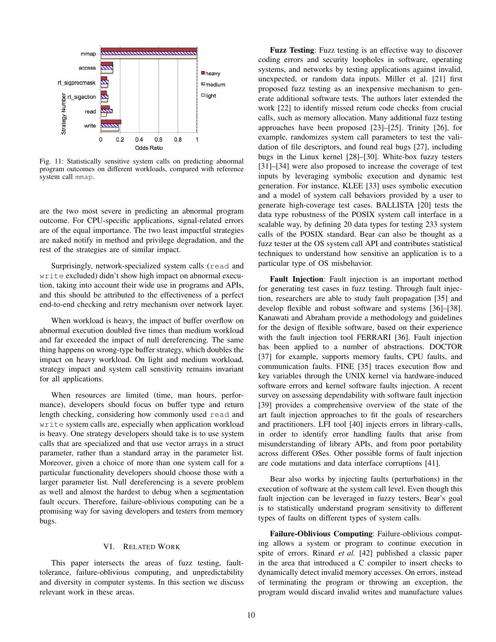

Fig. 11: Statistically sensitive system calls on predicting abnormal program outcomes on different workloads, compared with reference system call mmap.

are the two most severe in predicting an abnormal program outcome. For CPU-specific applications, signal-related errors are of the equal importance. The two least impactful strategies are naked notify in method and privilege degradation, and the rest of the strategies are of similar impact.

Surprisingly, network-specialized system calls (read and write excluded) didn't show high impact on abnormal execution, taking into account their wide use in programs and APIs, and this should be attributed to the effectiveness of a perfect end-to-end checking and retry mechanism over network layer.

When workload is heavy, the impact of buffer overflow on abnormal execution doubled five times than medium workload and far exceeded the impact of null dereferencing. The same thing happens on wrong-type buffer strategy, which doubles the impact on heavy workload. On light and medium workload, strategy impact and system call sensitivity remains invariant for all applications.

When resources are limited (time, man hours, performance), developers should focus on buffer type and return length checking, considering how commonly used read and write system calls are, especially when application workload is heavy. One strategy developers should take is to use system calls that are specialized and that use vector arrays in a struct parameter, rather than a standard array in the parameter list. Moreover, given a choice of more than one system call for a particular functionality developers should choose those with a larger parameter list. Null dereferencing is a severe problem as well and almost the hardest to debug when a segmentation fault occurs. Therefore, failure-oblivious computing can be a promising way for saving developers and testers from memory bugs.

## VI. RELATED WORK

This paper intersects the areas of fuzz testing, faulttolerance, failure-oblivious computing, and unpredictability and diversity in computer systems. In this section we discuss relevant work in these areas.

Fuzz Testing: Fuzz testing is an effective way to discover coding errors and security loopholes in software, operating systems, and networks by testing applications against invalid, unexpected, or random data inputs. Miller et al. [21] first proposed fuzz testing as an inexpensive mechanism to generate additional software tests. The authors later extended the work [22] to identify missed return code checks from crucial calls, such as memory allocation. Many additional fuzz testing approaches have been proposed [23]–[25]. Trinity [26], for example, randomizes system call parameters to test the validation of file descriptors, and found real bugs [27], including bugs in the Linux kernel [28]–[30]. White-box fuzzy testers [31]–[34] were also proposed to increase the coverage of test inputs by leveraging symbolic execution and dynamic test generation. For instance, KLEE [33] uses symbolic execution and a model of system call behaviors provided by a user to generate high-coverage test cases. BALLISTA [20] tests the data type robustness of the POSIX system call interface in a scalable way, by defining 20 data types for testing 233 system calls of the POSIX standard. Bear can also be thought as a fuzz tester at the OS system call API and contributes statistical techniques to understand how sensitive an application is to a particular type of OS misbehavior.

Fault Injection: Fault injection is an important method for generating test cases in fuzz testing. Through fault injection, researchers are able to study fault propagation [35] and develop flexible and robust software and systems [36]–[38]. Kanawati and Abraham provide a methodology and guidelines for the design of flexible software, based on their experience with the fault injection tool FERRARI [36]. Fault injection has been applied to a number of abstractions. DOCTOR [37] for example, supports memory faults, CPU faults, and communication faults. FINE [35] traces execution flow and key variables through the UNIX kernel via hardware-induced software errors and kernel software faults injection. A recent survey on assessing dependability with software fault injection [39] provides a comprehensive overview of the state of the art fault injection approaches to fit the goals of researchers and practitioners. LFI tool [40] injects errors in library-calls, in order to identify error handling faults that arise from misunderstanding of library APIs, and from poor portability across different OSes. Other possible forms of fault injection are code mutations and data interface corruptions [41].

Bear also works by injecting faults (perturbations) in the execution of software at the system call level. Even though this fault injection can be leveraged in fuzzy testers, Bear's goal is to statistically understand program sensitivity to different types of faults on different types of system calls.

Failure-Oblivious Computing: Failure-oblivious computing allows a system or program to continue execution in spite of errors. Rinard *et al.* [42] published a classic paper in the area that introduced a C compiler to insert checks to dynamically detect invalid memory accesses. On errors, instead of terminating the program or throwing an exception, the program would discard invalid writes and manufacture values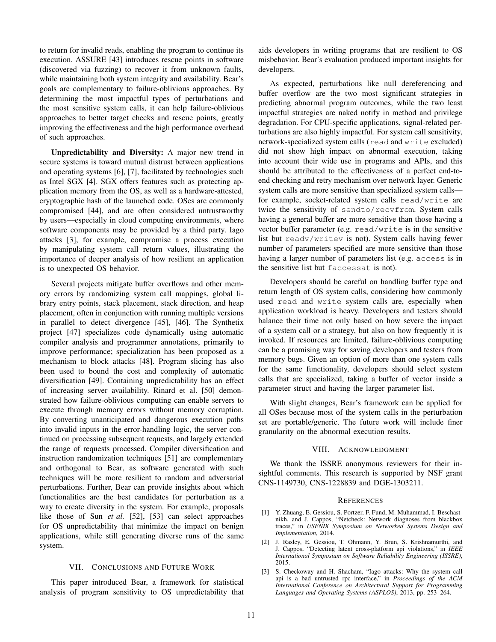to return for invalid reads, enabling the program to continue its execution. ASSURE [43] introduces rescue points in software (discovered via fuzzing) to recover it from unknown faults, while maintaining both system integrity and availability. Bear's goals are complementary to failure-oblivious approaches. By determining the most impactful types of perturbations and the most sensitive system calls, it can help failure-oblivious approaches to better target checks and rescue points, greatly improving the effectiveness and the high performance overhead of such approaches.

Unpredictability and Diversity: A major new trend in secure systems is toward mutual distrust between applications and operating systems [6], [7], facilitated by technologies such as Intel SGX [4]. SGX offers features such as protecting application memory from the OS, as well as a hardware-attested, cryptographic hash of the launched code. OSes are commonly compromised [44], and are often considered untrustworthy by users—especially in cloud computing environments, where software components may be provided by a third party. Iago attacks [3], for example, compromise a process execution by manipulating system call return values, illustrating the importance of deeper analysis of how resilient an application is to unexpected OS behavior.

Several projects mitigate buffer overflows and other memory errors by randomizing system call mappings, global library entry points, stack placement, stack direction, and heap placement, often in conjunction with running multiple versions in parallel to detect divergence [45], [46]. The Synthetix project [47] specializes code dynamically using automatic compiler analysis and programmer annotations, primarily to improve performance; specialization has been proposed as a mechanism to block attacks [48]. Program slicing has also been used to bound the cost and complexity of automatic diversification [49]. Containing unpredictability has an effect of increasing server availability. Rinard et al. [50] demonstrated how failure-oblivious computing can enable servers to execute through memory errors without memory corruption. By converting unanticipated and dangerous execution paths into invalid inputs in the error-handling logic, the server continued on processing subsequent requests, and largely extended the range of requests processed. Compiler diversification and instruction randomization techniques [51] are complementary and orthogonal to Bear, as software generated with such techniques will be more resilient to random and adversarial perturbations. Further, Bear can provide insights about which functionalities are the best candidates for perturbation as a way to create diversity in the system. For example, proposals like those of Sun *et al.* [52], [53] can select approaches for OS unpredictability that minimize the impact on benign applications, while still generating diverse runs of the same system.

### VII. CONCLUSIONS AND FUTURE WORK

This paper introduced Bear, a framework for statistical analysis of program sensitivity to OS unpredictability that aids developers in writing programs that are resilient to OS misbehavior. Bear's evaluation produced important insights for developers.

As expected, perturbations like null dereferencing and buffer overflow are the two most significant strategies in predicting abnormal program outcomes, while the two least impactful strategies are naked notify in method and privilege degradation. For CPU-specific applications, signal-related perturbations are also highly impactful. For system call sensitivity, network-specialized system calls (read and write excluded) did not show high impact on abnormal execution, taking into account their wide use in programs and APIs, and this should be attributed to the effectiveness of a perfect end-toend checking and retry mechanism over network layer. Generic system calls are more sensitive than specialized system calls for example, socket-related system calls read/write are twice the sensitivity of sendto/recvfrom. System calls having a general buffer are more sensitive than those having a vector buffer parameter (e.g. read/write is in the sensitive list but readv/writev is not). System calls having fewer number of parameters specified are more sensitive than those having a larger number of parameters list (e.g. access is in the sensitive list but faccessat is not).

Developers should be careful on handling buffer type and return length of OS system calls, considering how commonly used read and write system calls are, especially when application workload is heavy. Developers and testers should balance their time not only based on how severe the impact of a system call or a strategy, but also on how frequently it is invoked. If resources are limited, failure-oblivious computing can be a promising way for saving developers and testers from memory bugs. Given an option of more than one system calls for the same functionality, developers should select system calls that are specialized, taking a buffer of vector inside a parameter struct and having the larger parameter list.

With slight changes, Bear's framework can be applied for all OSes because most of the system calls in the perturbation set are portable/generic. The future work will include finer granularity on the abnormal execution results.

### VIII. ACKNOWLEDGMENT

We thank the ISSRE anonymous reviewers for their insightful comments. This research is supported by NSF grant CNS-1149730, CNS-1228839 and DGE-1303211.

#### **REFERENCES**

- [1] Y. Zhuang, E. Gessiou, S. Portzer, F. Fund, M. Muhammad, I. Beschastnikh, and J. Cappos, "Netcheck: Network diagnoses from blackbox traces," in *USENIX Symposium on Networked Systems Design and Implementation*, 2014.
- [2] J. Rasley, E. Gessiou, T. Ohmann, Y. Brun, S. Krishnamurthi, and J. Cappos, "Detecting latent cross-platform api violations," in *IEEE International Symposium on Software Reliability Engineering (ISSRE)*, 2015.
- [3] S. Checkoway and H. Shacham, "Iago attacks: Why the system call api is a bad untrusted rpc interface," in *Proceedings of the ACM International Conference on Architectural Support for Programming Languages and Operating Systems (ASPLOS)*, 2013, pp. 253–264.